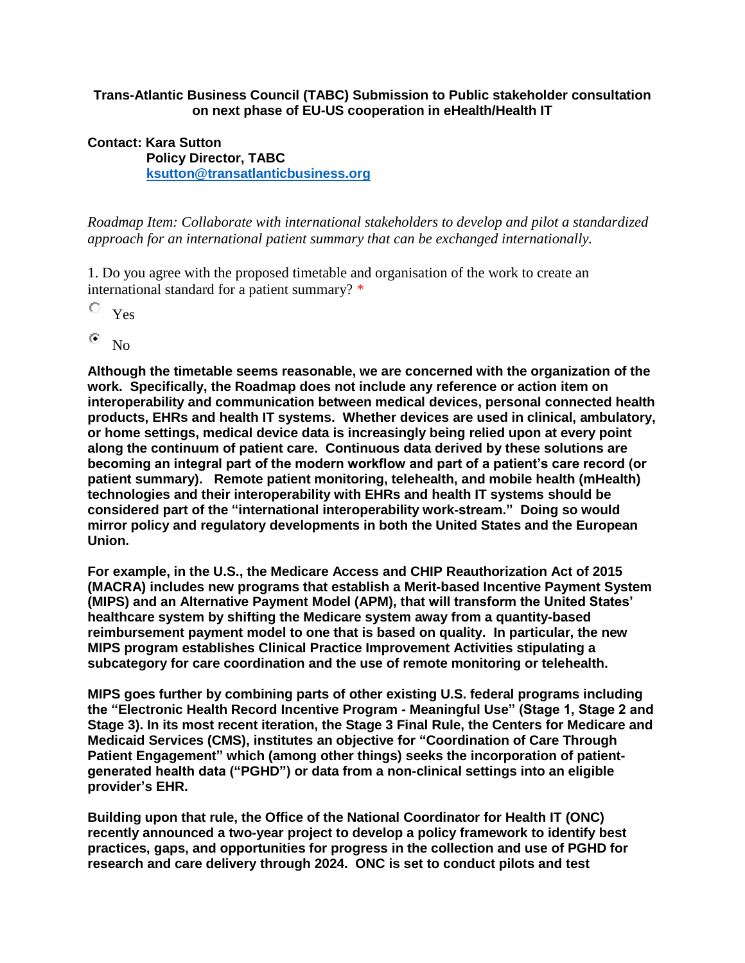## **Trans-Atlantic Business Council (TABC) Submission to Public stakeholder consultation on next phase of EU-US cooperation in eHealth/Health IT**

## **Contact: Kara Sutton Policy Director, TABC [ksutton@transatlanticbusiness.org](mailto:ksutton@transatlanticbusiness.org)**

*Roadmap Item: Collaborate with international stakeholders to develop and pilot a standardized approach for an international patient summary that can be exchanged internationally.*

1. Do you agree with the proposed timetable and organisation of the work to create an international standard for a patient summary? \*

О Yes

۵ No

**Although the timetable seems reasonable, we are concerned with the organization of the work. Specifically, the Roadmap does not include any reference or action item on interoperability and communication between medical devices, personal connected health products, EHRs and health IT systems. Whether devices are used in clinical, ambulatory, or home settings, medical device data is increasingly being relied upon at every point along the continuum of patient care. Continuous data derived by these solutions are becoming an integral part of the modern workflow and part of a patient's care record (or patient summary). Remote patient monitoring, telehealth, and mobile health (mHealth) technologies and their interoperability with EHRs and health IT systems should be considered part of the "international interoperability work-stream." Doing so would mirror policy and regulatory developments in both the United States and the European Union.** 

**For example, in the U.S., the Medicare Access and CHIP Reauthorization Act of 2015 (MACRA) includes new programs that establish a Merit-based Incentive Payment System (MIPS) and an Alternative Payment Model (APM), that will transform the United States' healthcare system by shifting the Medicare system away from a quantity-based reimbursement payment model to one that is based on quality. In particular, the new MIPS program establishes Clinical Practice Improvement Activities stipulating a subcategory for care coordination and the use of remote monitoring or telehealth.**

**MIPS goes further by combining parts of other existing U.S. federal programs including the "Electronic Health Record Incentive Program - Meaningful Use" (Stage 1, Stage 2 and Stage 3). In its most recent iteration, the Stage 3 Final Rule, the Centers for Medicare and Medicaid Services (CMS), institutes an objective for "Coordination of Care Through Patient Engagement" which (among other things) seeks the incorporation of patientgenerated health data ("PGHD") or data from a non-clinical settings into an eligible provider's EHR.** 

**Building upon that rule, the Office of the National Coordinator for Health IT (ONC) recently announced a two-year project to develop a policy framework to identify best practices, gaps, and opportunities for progress in the collection and use of PGHD for research and care delivery through 2024. ONC is set to conduct pilots and test**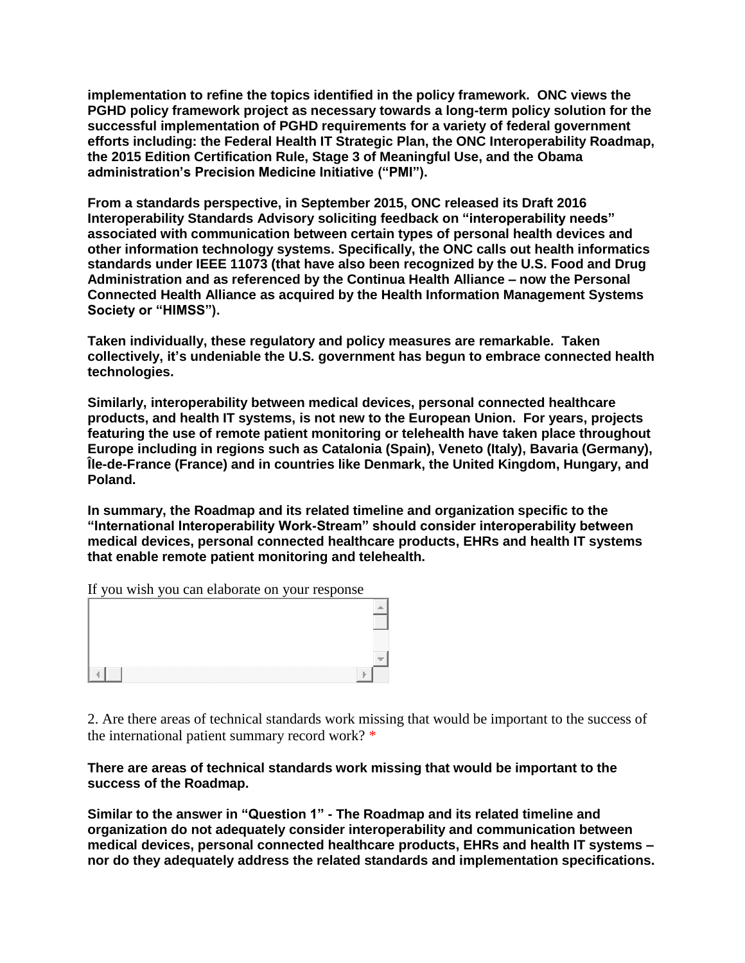**implementation to refine the topics identified in the policy framework. ONC views the PGHD policy framework project as necessary towards a long-term policy solution for the successful implementation of PGHD requirements for a variety of federal government efforts including: the Federal Health IT Strategic Plan, the ONC Interoperability Roadmap, the 2015 Edition Certification Rule, Stage 3 of Meaningful Use, and the Obama administration's Precision Medicine Initiative ("PMI").**

**From a standards perspective, in September 2015, ONC released its Draft 2016 Interoperability Standards Advisory soliciting feedback on "interoperability needs" associated with communication between certain types of personal health devices and other information technology systems. Specifically, the ONC calls out health informatics standards under IEEE 11073 (that have also been recognized by the U.S. Food and Drug Administration and as referenced by the Continua Health Alliance – now the Personal Connected Health Alliance as acquired by the Health Information Management Systems Society or "HIMSS").** 

**Taken individually, these regulatory and policy measures are remarkable. Taken collectively, it's undeniable the U.S. government has begun to embrace connected health technologies.**

**Similarly, interoperability between medical devices, personal connected healthcare products, and health IT systems, is not new to the European Union. For years, projects featuring the use of remote patient monitoring or telehealth have taken place throughout Europe including in regions such as Catalonia (Spain), Veneto (Italy), Bavaria (Germany), Île-de-France (France) and in countries like Denmark, the United Kingdom, Hungary, and Poland.** 

**In summary, the Roadmap and its related timeline and organization specific to the "International Interoperability Work-Stream" should consider interoperability between medical devices, personal connected healthcare products, EHRs and health IT systems that enable remote patient monitoring and telehealth.**

If you wish you can elaborate on your response

|  | m<br>88888 |
|--|------------|
|  |            |
|  |            |

2. Are there areas of technical standards work missing that would be important to the success of the international patient summary record work? \*

## **There are areas of technical standards work missing that would be important to the success of the Roadmap.**

**Similar to the answer in "Question 1" - The Roadmap and its related timeline and organization do not adequately consider interoperability and communication between medical devices, personal connected healthcare products, EHRs and health IT systems – nor do they adequately address the related standards and implementation specifications.**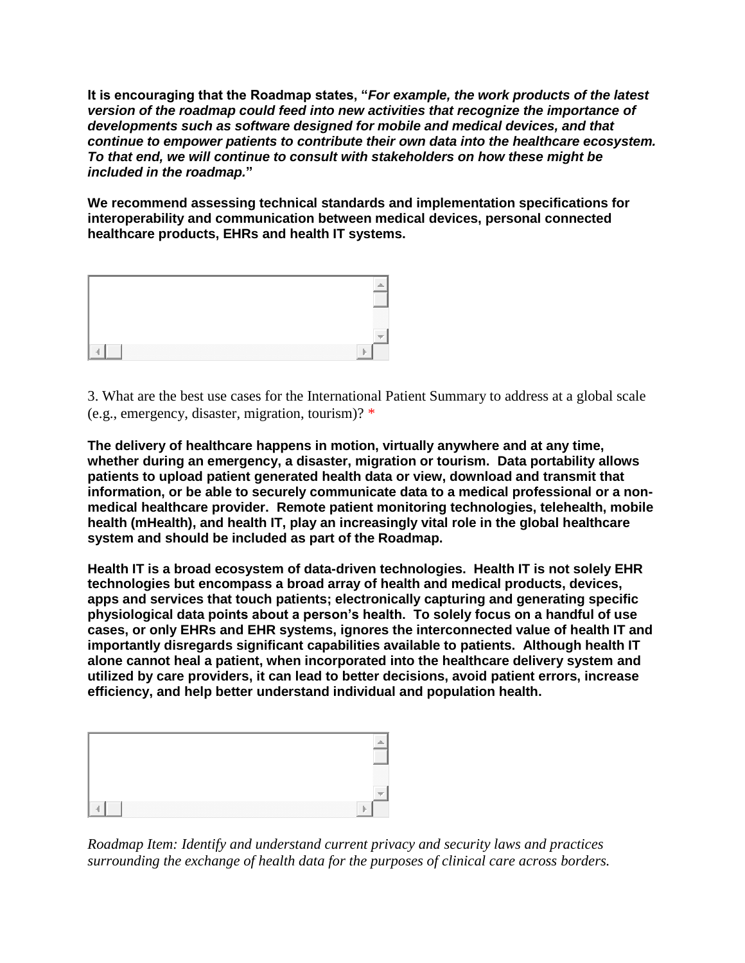**It is encouraging that the Roadmap states, "***For example, the work products of the latest version of the roadmap could feed into new activities that recognize the importance of developments such as software designed for mobile and medical devices, and that continue to empower patients to contribute their own data into the healthcare ecosystem. To that end, we will continue to consult with stakeholders on how these might be included in the roadmap.***"** 

**We recommend assessing technical standards and implementation specifications for interoperability and communication between medical devices, personal connected healthcare products, EHRs and health IT systems.**



3. What are the best use cases for the International Patient Summary to address at a global scale (e.g., emergency, disaster, migration, tourism)? \*

**The delivery of healthcare happens in motion, virtually anywhere and at any time, whether during an emergency, a disaster, migration or tourism. Data portability allows patients to upload patient generated health data or view, download and transmit that information, or be able to securely communicate data to a medical professional or a nonmedical healthcare provider. Remote patient monitoring technologies, telehealth, mobile health (mHealth), and health IT, play an increasingly vital role in the global healthcare system and should be included as part of the Roadmap.** 

**Health IT is a broad ecosystem of data-driven technologies. Health IT is not solely EHR technologies but encompass a broad array of health and medical products, devices, apps and services that touch patients; electronically capturing and generating specific physiological data points about a person's health. To solely focus on a handful of use cases, or only EHRs and EHR systems, ignores the interconnected value of health IT and importantly disregards significant capabilities available to patients. Although health IT alone cannot heal a patient, when incorporated into the healthcare delivery system and utilized by care providers, it can lead to better decisions, avoid patient errors, increase efficiency, and help better understand individual and population health.** 



*Roadmap Item: Identify and understand current privacy and security laws and practices surrounding the exchange of health data for the purposes of clinical care across borders.*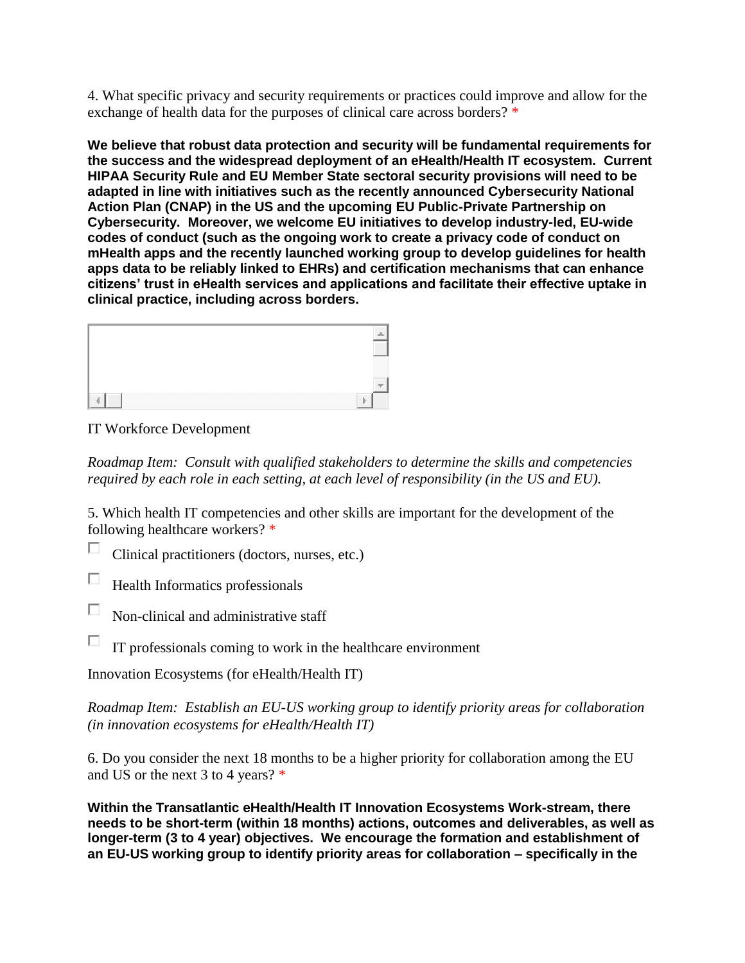4. What specific privacy and security requirements or practices could improve and allow for the exchange of health data for the purposes of clinical care across borders? \*

**We believe that robust data protection and security will be fundamental requirements for the success and the widespread deployment of an eHealth/Health IT ecosystem. Current HIPAA Security Rule and EU Member State sectoral security provisions will need to be adapted in line with initiatives such as the recently announced Cybersecurity National Action Plan (CNAP) in the US and the upcoming EU Public-Private Partnership on Cybersecurity. Moreover, we welcome EU initiatives to develop industry-led, EU-wide codes of conduct (such as the ongoing work to create a privacy code of conduct on mHealth apps and the recently launched working group to develop guidelines for health apps data to be reliably linked to EHRs) and certification mechanisms that can enhance citizens' trust in eHealth services and applications and facilitate their effective uptake in clinical practice, including across borders.**



IT Workforce Development

*Roadmap Item: Consult with qualified stakeholders to determine the skills and competencies required by each role in each setting, at each level of responsibility (in the US and EU).*

5. Which health IT competencies and other skills are important for the development of the following healthcare workers? \*

 $\Box$ Clinical practitioners (doctors, nurses, etc.)

П Health Informatics professionals

П Non-clinical and administrative staff

П IT professionals coming to work in the healthcare environment

Innovation Ecosystems (for eHealth/Health IT)

*Roadmap Item: Establish an EU-US working group to identify priority areas for collaboration (in innovation ecosystems for eHealth/Health IT)*

6. Do you consider the next 18 months to be a higher priority for collaboration among the EU and US or the next 3 to 4 years? \*

**Within the Transatlantic eHealth/Health IT Innovation Ecosystems Work-stream, there needs to be short-term (within 18 months) actions, outcomes and deliverables, as well as longer-term (3 to 4 year) objectives. We encourage the formation and establishment of an EU-US working group to identify priority areas for collaboration – specifically in the**